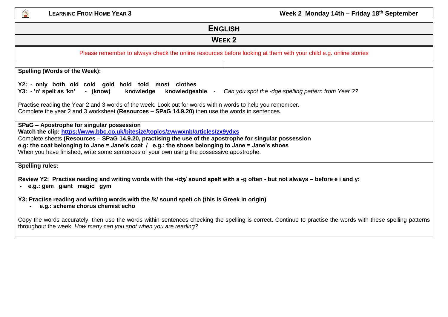

**LEARNING FROM HOME YEAR 3 Week 2 Monday 14th – Friday 18th September**

| <b>ENGLISH</b>                                                                                                                                                                                                                                                                                                                                                                                                                            |  |  |  |  |
|-------------------------------------------------------------------------------------------------------------------------------------------------------------------------------------------------------------------------------------------------------------------------------------------------------------------------------------------------------------------------------------------------------------------------------------------|--|--|--|--|
| <b>WEEK 2</b>                                                                                                                                                                                                                                                                                                                                                                                                                             |  |  |  |  |
| Please remember to always check the online resources before looking at them with your child e.g. online stories                                                                                                                                                                                                                                                                                                                           |  |  |  |  |
| Spelling (Words of the Week):                                                                                                                                                                                                                                                                                                                                                                                                             |  |  |  |  |
| Y2: - only both old cold gold hold told most clothes<br>- (know)<br>Y3: - 'n' spelt as 'kn'<br>knowledge<br>knowledgeable -<br>Can you spot the -dge spelling pattern from Year 2?                                                                                                                                                                                                                                                        |  |  |  |  |
| Practise reading the Year 2 and 3 words of the week. Look out for words within words to help you remember.<br>Complete the year 2 and 3 worksheet (Resources - SPaG 14.9.20) then use the words in sentences.                                                                                                                                                                                                                             |  |  |  |  |
| SPaG - Apostrophe for singular possession<br>Watch the clip: https://www.bbc.co.uk/bitesize/topics/zvwwxnb/articles/zx9ydxs<br>Complete sheets (Resources - SPaG 14.9.20, practising the use of the apostrophe for singular possession<br>e.g: the coat belonging to Jane = Jane's coat $/$ e.g.: the shoes belonging to Jane = Jane's shoes<br>When you have finished, write some sentences of your own using the possessive apostrophe. |  |  |  |  |
| <b>Spelling rules:</b>                                                                                                                                                                                                                                                                                                                                                                                                                    |  |  |  |  |
| Review Y2: Practise reading and writing words with the -/dʒ/ sound spelt with a -g often - but not always – before e i and y:<br>- e.g.: gem giant magic gym                                                                                                                                                                                                                                                                              |  |  |  |  |
| Y3: Practise reading and writing words with the /k/ sound spelt ch (this is Greek in origin)<br>e.g.: scheme chorus chemist echo                                                                                                                                                                                                                                                                                                          |  |  |  |  |
| Copy the words accurately, then use the words within sentences checking the spelling is correct. Continue to practise the words with these spelling patterns<br>throughout the week. How many can you spot when you are reading?                                                                                                                                                                                                          |  |  |  |  |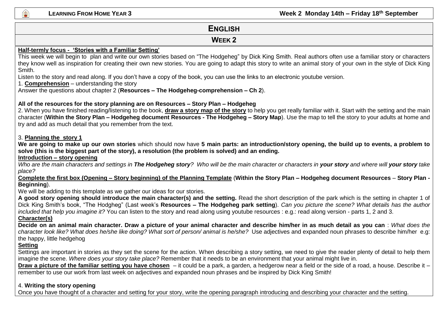#### **ENGLISH**

#### **WEEK 2**

#### **Half-termly focus - 'Stories with a Familiar Setting'**

This week we will begin to plan and write our own stories based on "The Hodgeheg" by Dick King Smith. Real authors often use a familiar story or characters they know well as inspiration for creating their own new stories. You are going to adapt this story to write an animal story of your own in the style of Dick King Smith.

Listen to the story and read along. If you don't have a copy of the book, you can use the links to an electronic youtube version.

1. **Comprehension** – understanding the story

Answer the questions about chapter 2 (**Resources – The Hodgeheg-comprehension – Ch 2**).

#### **All of the resources for the story planning are on Resources – Story Plan – Hodgeheg**

2. When you have finished reading/listening to the book, **draw a story map of the story** to help you get really familiar with it. Start with the setting and the main character (**Within the Story Plan – Hodgeheg document Resources - The Hodgeheg – Story Map**). Use the map to tell the story to your adults at home and try and add as much detail that you remember from the text.

#### 3. **Planning the story 1**

**We are going to make up our own stories** which should now have **5 main parts: an introduction/story opening, the build up to events, a problem to solve (this is the biggest part of the story), a resolution (the problem is solved) and an ending.** 

#### **Introduction – story opening**

*Who are the main characters and settings in The Hodgeheg story? Who will be the main character or characters in your story and where will your story take place?* 

**Complete the first box (Opening – Story beginning) of the Planning Template** (**Within the Story Plan – Hodgeheg document Resources** – **Story Plan - Beginning**).

We will be adding to this template as we gather our ideas for our stories.

**A good story opening should introduce the main character(s) and the setting.** Read the short description of the park which is the setting in chapter 1 of Dick King Smith's book, "The Hodgheg" (Last week's **Resources – The Hodgeheg park setting**). *Can you picture the scene? What details has the author included that help you imagine it?* You can listen to the story and read along using youtube resources : e.g.: read along version - parts 1, 2 and 3.

**Character(s)**

**Decide on an animal main character. Draw a picture of your animal character and describe him/her in as much detail as you can** : *What does the character look like? What does he/she like doing? What sort of person/ animal is he/she?* Use adjectives and expanded noun phrases to describe him/her e.g: the happy, little hedgehog

#### **Setting**

Settings are important in stories as they set the scene for the action. When describing a story setting, we need to give the reader plenty of detail to help them imagine the scene. *Where does your story take place?* Remember that it needs to be an environment that your animal might live in.

**Draw a picture of the familiar setting you have chosen** – it could be a park, a garden, a hedgerow near a field or the side of a road, a house. Describe it – remember to use our work from last week on adjectives and expanded noun phrases and be inspired by Dick King Smith!

#### 4. **Writing the story opening**

Once you have thought of a character and setting for your story, write the opening paragraph introducing and describing your character and the setting.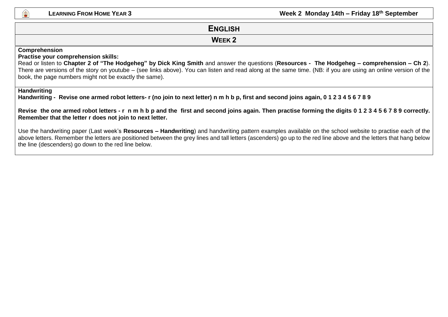

#### **ENGLISH**

#### **WEEK 2**

#### **Comprehension**

#### **Practise your comprehension skills:**

Read or listen to **Chapter 2 of "The Hodgeheg" by Dick King Smith** and answer the questions (**Resources - The Hodgeheg – comprehension – Ch 2**). There are versions of the story on youtube – (see links above). You can listen and read along at the same time. (NB: if you are using an online version of the book, the page numbers might not be exactly the same).

#### **Handwriting**

**Handwriting - Revise one armed robot letters- r (no join to next letter) n m h b p, first and second joins again, 0 1 2 3 4 5 6 7 8 9**

**Revise the one armed robot letters - r n m h b p and the first and second joins again. Then practise forming the digits 0 1 2 3 4 5 6 7 8 9 correctly. Remember that the letter r does not join to next letter.**

Use the handwriting paper (Last week's **Resources – Handwriting**) and handwriting pattern examples available on the school website to practise each of the above letters. Remember the letters are positioned between the grey lines and tall letters (ascenders) go up to the red line above and the letters that hang below the line (descenders) go down to the red line below.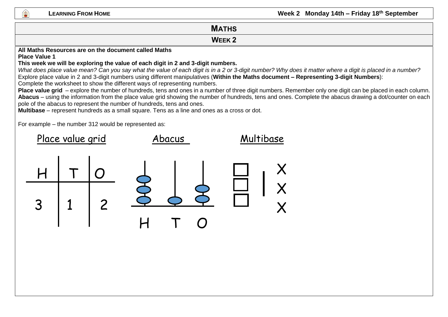#### **LEARNING FROM HOME CONSUMPTION CONSUMPTION <b>CONSUMPTION Week 2 Monday 14th – Friday 18<sup>th</sup> September**

#### **MATHS WEEK 2 All Maths Resources are on the document called Maths Place Value 1 This week we will be exploring the value of each digit in 2 and 3-digit numbers.**  *What does place value mean? Can you say what the value of each digit is in a 2 or 3-digit number? Why does it matter where a digit is placed in a number?*  Explore place value in 2 and 3-digit numbers using different manipulatives (**Within the Maths document – Representing 3-digit Numbers**):

Complete the worksheet to show the different ways of representing numbers.

**Place value grid** – explore the number of hundreds, tens and ones in a number of three digit numbers. Remember only one digit can be placed in each column. **Abacus** – using the information from the place value grid showing the number of hundreds, tens and ones. Complete the abacus drawing a dot/counter on each pole of the abacus to represent the number of hundreds, tens and ones.

**Multibase** – represent hundreds as a small square. Tens as a line and ones as a cross or dot.

For example – the number 312 would be represented as:

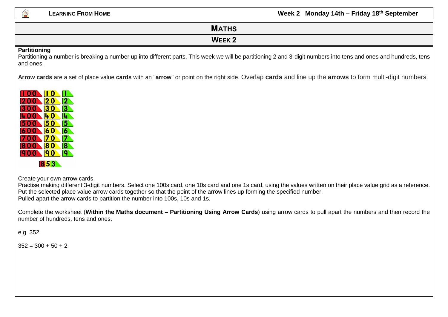

**Partitioning**

and ones.

## **MATHS WEEK 2** Partitioning a number is breaking a number up into different parts. This week we will be partitioning 2 and 3-digit numbers into tens and ones and hundreds, tens

**Arrow cards** are a set of place value **cards** with an "**arrow**" or point on the right side. Overlap **cards** and line up the **arrows** to form multi-digit numbers.



Create your own arrow cards.

Practise making different 3-digit numbers. Select one 100s card, one 10s card and one 1s card, using the values written on their place value grid as a reference. Put the selected place value arrow cards together so that the point of the arrow lines up forming the specified number. Pulled apart the arrow cards to partition the number into 100s, 10s and 1s.

Complete the worksheet (**Within the Maths document – Partitioning Using Arrow Cards**) using arrow cards to pull apart the numbers and then record the number of hundreds, tens and ones.

e.g 352

 $352 = 300 + 50 + 2$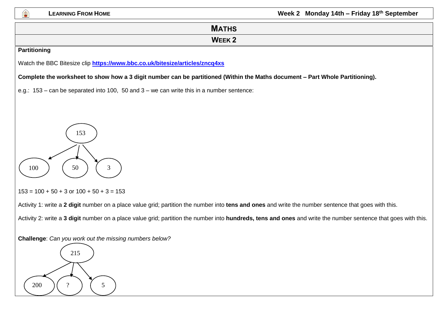

# **MATHS WEEK 2 Partitioning** Watch the BBC Bitesize clip **<https://www.bbc.co.uk/bitesize/articles/zncq4xs> Complete the worksheet to show how a 3 digit number can be partitioned (Within the Maths document – Part Whole Partitioning).**  e.g.: 153 – can be separated into 100, 50 and 3 – we can write this in a number sentence:  $153 = 100 + 50 + 3$  or  $100 + 50 + 3 = 153$ Activity 1: write a **2 digit** number on a place value grid; partition the number into **tens and ones** and write the number sentence that goes with this. Activity 2: write a **3 digit** number on a place value grid; partition the number into **hundreds, tens and ones** and write the number sentence that goes with this. **Challenge**: *Can you work out the missing numbers below?*  215 153  $100$  )  $(50)$   $(3)$

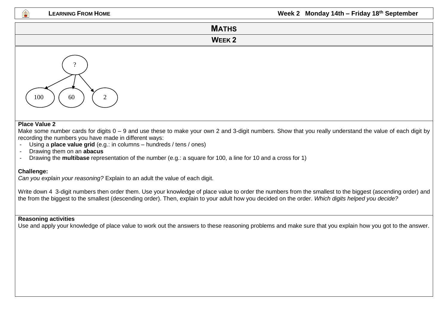**LEARNING FROM HOME CONSUMPTION CONSUMPTION <b>CONSUMPTION Week 2 Monday 14th – Friday 18<sup>th</sup> September** 

### **MATHS WEEK 2**

# ?  $100$  ) (60) (2

#### **Place Value 2**

Make some number cards for digits 0 – 9 and use these to make your own 2 and 3-digit numbers. Show that you really understand the value of each digit by recording the numbers you have made in different ways:

- Using a **place value grid** (e.g.: in columns hundreds / tens / ones)
- Drawing them on an **abacus**
- Drawing the **multibase** representation of the number (e.g.: a square for 100, a line for 10 and a cross for 1)

#### **Challenge:**

*Can you explain your reasoning?* Explain to an adult the value of each digit.

Write down 4 3-digit numbers then order them. Use your knowledge of place value to order the numbers from the smallest to the biggest (ascending order) and the from the biggest to the smallest (descending order). Then, explain to your adult how you decided on the order. *Which digits helped you decide?*

#### **Reasoning activities**

Use and apply your knowledge of place value to work out the answers to these reasoning problems and make sure that you explain how you got to the answer.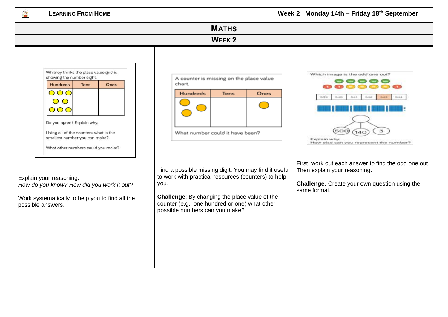幽

**LEARNING FROM HOME CONSUMPTION CONSUMPTION <b>CONSUMPTION Week 2 Monday 14th – Friday 18<sup>th</sup> September** 

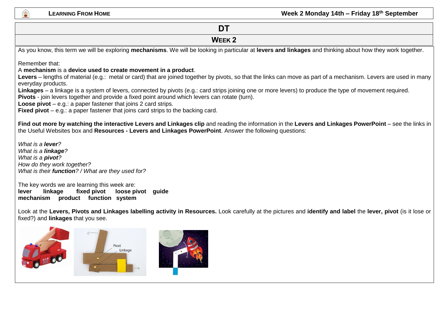## **DT WEEK 2** As you know, this term we will be exploring **mechanisms**. We will be looking in particular at **levers and linkages** and thinking about how they work together. Remember that: A **mechanism** is a **device used to create movement in a product**. Levers – lengths of material (e.g.: metal or card) that are joined together by pivots, so that the links can move as part of a mechanism. Levers are used in many everyday products. **Linkages** – a linkage is a system of levers, connected by pivots (e.g.: card strips joining one or more levers) to produce the type of movement required. **Pivots** - join levers together and provide a fixed point around which levers can rotate (turn). **Loose pivot** – e.g.: a paper fastener that joins 2 card strips. **Fixed pivot** – e.g.: a paper fastener that joins card strips to the backing card. **Find out more by watching the interactive Levers and Linkages clip** and reading the information in the **Levers and Linkages PowerPoint** – see the links in the Useful Websites box and **Resources - Levers and Linkages PowerPoint**. Answer the following questions: *What is a lever? What is a linkage? What is a pivot? How do they work together? What is their function? / What are they used for?* The key words we are learning this week are: **lever linkage fixed pivot loose pivot guide mechanism product function system** Look at the **Levers, Pivots and Linkages labelling activity in Resources.** Look carefully at the pictures and **identify and label** the **lever, pivot** (is it lose or fixed?) and **linkages** that you see. Pivot Linkage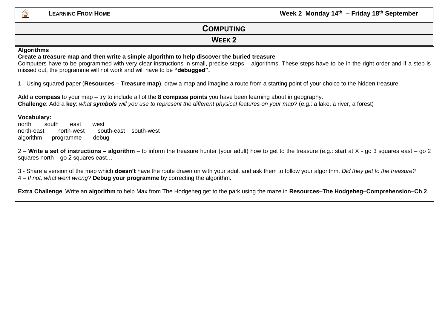出

**LEARNING FROM HOME CONSUMING <b>EXAMPLE 2 Week 2** Monday 14<sup>th</sup> – Friday 18<sup>th</sup> September

| <b>COMPUTING</b>                                                                                                                                                                                                                                                                                                                                              |  |  |  |
|---------------------------------------------------------------------------------------------------------------------------------------------------------------------------------------------------------------------------------------------------------------------------------------------------------------------------------------------------------------|--|--|--|
| <b>WEEK 2</b>                                                                                                                                                                                                                                                                                                                                                 |  |  |  |
| <b>Algorithms</b><br>Create a treasure map and then write a simple algorithm to help discover the buried treasure<br>Computers have to be programmed with very clear instructions in small, precise steps – algorithms. These steps have to be in the right order and if a step is<br>missed out, the programme will not work and will have to be "debugged". |  |  |  |
| 1 - Using squared paper (Resources – Treasure map), draw a map and imagine a route from a starting point of your choice to the hidden treasure.                                                                                                                                                                                                               |  |  |  |
| Add a compass to your map – try to include all of the 8 compass points you have been learning about in geography.<br>Challenge: Add a key: what symbols will you use to represent the different physical features on your map? (e.g.: a lake, a river, a forest)                                                                                              |  |  |  |
| <b>Vocabulary:</b><br>north<br>south<br>east<br>west<br>north-west<br>south-east south-west<br>north-east<br>algorithm<br>debug<br>programme                                                                                                                                                                                                                  |  |  |  |
| 2 – Write a set of instructions – algorithm – to inform the treasure hunter (your adult) how to get to the treasure (e.g.: start at X - go 3 squares east – go 2<br>squares north $-$ go 2 squares east                                                                                                                                                       |  |  |  |

3 - Share a version of the map which **doesn't** have the route drawn on with your adult and ask them to follow your algorithm. *Did they get to the treasure?*  4 – *If not, what went wrong?* **Debug your programme** by correcting the algorithm.

**Extra Challenge**: Write an **algorithm** to help Max from The Hodgeheg get to the park using the maze in **Resources–The Hodgeheg–Comprehension–Ch 2**.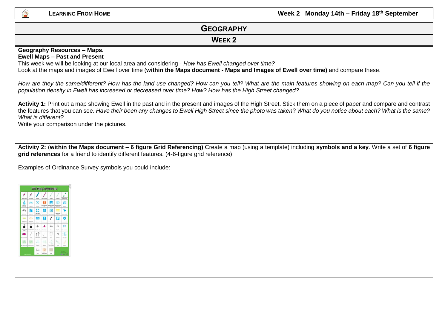#### **LEARNING FROM HOME CONSUMPTION CONSUMPTION <b>CONSUMPTION Week 2 Monday 14th – Friday 18<sup>th</sup> September**

#### **GEOGRAPHY WEEK 2 Geography Resources – Maps. Ewell Maps – Past and Present** This week we will be looking at our local area and considering - *How has Ewell changed over time?* Look at the maps and images of Ewell over time (**within the Maps document - Maps and Images of Ewell over time)** and compare these. *How are they the same/different? How has the land use changed? How can you tell? What are the main features showing on each map? Can you tell if the population density in Ewell has increased or decreased over time? How? How has the High Street changed?* **Activity 1:** Print out a map showing Ewell in the past and in the present and images of the High Street. Stick them on a piece of paper and compare and contrast the features that you can see. *Have their been any changes to Ewell High Street since the photo was taken*? *What do you notice about each? What is the same? What is different?* Write your comparison under the pictures. **Activity 2:** (**within the Maps document – 6 figure Grid Referencing)** Create a map (using a template) including **symbols and a key**. Write a set of **6 figure grid references** for a friend to identify different features. (4-6-figure grid reference).

Examples of Ordinance Survey symbols you could include:

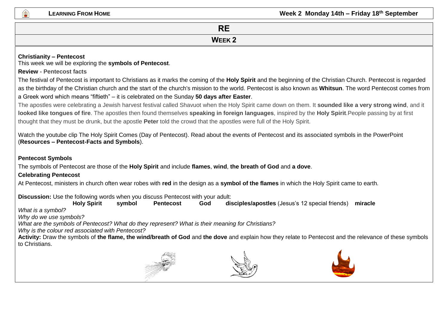**LEARNING FROM HOME LEARNING <b>FROM HOME EXAMPLE 2 Week 2** Monday 14th – Friday 18<sup>th</sup> September

## **RE**

**WEEK 2**

#### **Christianity – Pentecost**

This week we will be exploring the **symbols of Pentecost**.

#### **Review - Pentecost facts**

The festival of Pentecost is important to Christians as it marks the coming of the **Holy Spirit** and the beginning of the Christian Church. Pentecost is regarded as the birthday of the Christian church and the start of the church's mission to the world. Pentecost is also known as **Whitsun**. The word Pentecost comes from a Greek word which means "fiftieth" – it is celebrated on the Sunday **50 days after Easter**.

The apostles were celebrating a Jewish harvest festival called Shavuot when the Holy Spirit came down on them. It **sounded like a very strong wind**, and it **looked like tongues of fire**. The apostles then found themselves **speaking in foreign languages**, inspired by the **Holy Spirit**.People passing by at first thought that they must be drunk, but the apostle **Peter** told the crowd that the apostles were full of the Holy Spirit.

Watch the youtube clip The Holy Spirit Comes (Day of Pentecost). Read about the events of Pentecost and its associated symbols in the PowerPoint (**Resources – Pentecost-Facts and Symbols**).

#### **Pentecost Symbols**

The symbols of Pentecost are those of the **Holy Spirit** and include **flames**, **wind**, **the breath of God** and **a dove**.

#### **Celebrating Pentecost**

At Pentecost, ministers in church often wear robes with **red** in the design as a **symbol of the flames** in which the Holy Spirit came to earth.

**Discussion:** Use the following words when you discuss Pentecost with your adult:

**Holy Spirit symbol Pentecost God disciples/apostles** (Jesus's 12 special friends) **miracle**

*What is a symbol?* 

*Why do we use symbols?* 

*What are the symbols of Pentecost? What do they represent? What is their meaning for Christians?* 

*Why is the colour red associated with Pentecost?*

**Activity:** Draw the symbols of **the flame, the wind/breath of God** and **the dove** and explain how they relate to Pentecost and the relevance of these symbols to Christians.





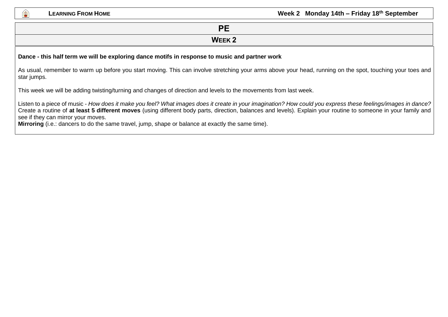

#### **PE WEEK 2**

#### **Dance - this half term we will be exploring dance motifs in response to music and partner work**

As usual, remember to warm up before you start moving. This can involve stretching your arms above your head, running on the spot, touching your toes and star jumps.

This week we will be adding twisting/turning and changes of direction and levels to the movements from last week.

Listen to a piece of music - *How does it make you feel? What images does it create in your imagination? How could you express these feelings/images in dance?*  Create a routine of **at least 5 different moves** (using different body parts, direction, balances and levels). Explain your routine to someone in your family and see if they can mirror your moves.

**Mirroring** (i.e.: dancers to do the same travel, jump, shape or balance at exactly the same time).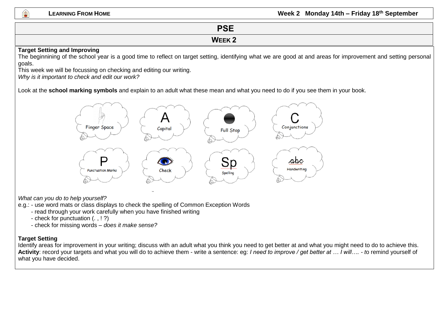**LEARNING FROM HOME LEARNING <b>FROM HOME EXAMPLE 2 Week 2** Monday 14th – Friday 18<sup>th</sup> September

| DCE<br>⊤ט⊏                                                                                                                                                                                                                     |  |  |
|--------------------------------------------------------------------------------------------------------------------------------------------------------------------------------------------------------------------------------|--|--|
| WEEK <sub>2</sub>                                                                                                                                                                                                              |  |  |
| and the second contract of the second second and the second second the second second and second the second second and second the second second and second the second second and second second and second second and second sec |  |  |

#### **Target Setting and Improving**

The beginnining of the school year is a good time to reflect on target setting, identifying what we are good at and areas for improvement and setting personal goals.

This week we will be focussing on checking and editing our writing.

*Why is it important to check and edit our work?* 

Look at the **school marking symbols** and explain to an adult what these mean and what you need to do if you see them in your book.



*What can you do to help yourself?*

- e.g.: use word mats or class displays to check the spelling of Common Exception Words
	- read through your work carefully when you have finished writing
	- check for punctuation (. , ! ?)
	- check for missing words *does it make sense?*

#### **Target Setting**

Identify areas for improvement in your writing; discuss with an adult what you think you need to get better at and what you might need to do to achieve this. **Activity**: record your targets and what you will do to achieve them - write a sentence: eg: *I need to improve / get better at … I will…. - t*o remind yourself of what you have decided.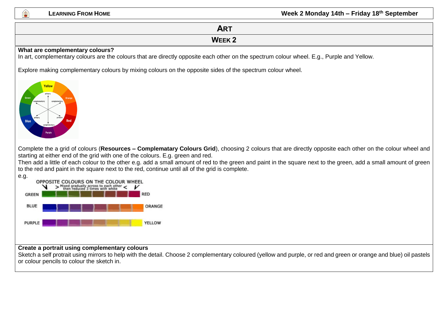#### **LEARNING FROM HOME LEARNING <b>FROM HOME EXAMPLE 2** MONDAY 14th – **Friday 18**<sup>th</sup> September

# **ART WEEK 2 What are complementary colours?** In art, complementary colours are the colours that are directly opposite each other on the spectrum colour wheel. E.g., Purple and Yellow. Explore making complementary colours by mixing colours on the opposite sides of the spectrum colour wheel. Yellow Complete the a grid of colours (**Resources – Complematary Colours Grid**), choosing 2 colours that are directly opposite each other on the colour wheel and starting at either end of the grid with one of the colours. E.g. green and red. Then add a little of each colour to the other e.g. add a small amount of red to the green and paint in the square next to the green, add a small amount of green to the red and paint in the square next to the red, continue until all of the grid is complete.



#### **Create a portrait using complementary colours**

Sketch a self protrait using mirrors to help with the detail. Choose 2 complementary coloured (yellow and purple, or red and green or orange and blue) oil pastels or colour pencils to colour the sketch in.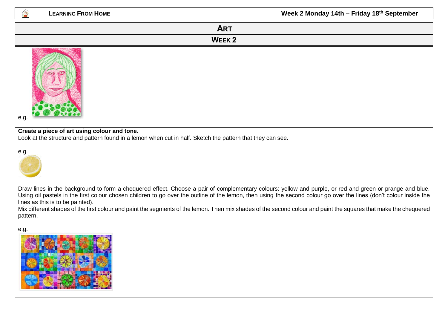| <b>LEARNING FROM HOM</b> |  |  |
|--------------------------|--|--|
|--------------------------|--|--|

**LEARNING FROM HOME Week 2 Monday 14th – Friday 18th September**

# **ART WEEK 2** e.g. **Create a piece of art using colour and tone.** Look at the structure and pattern found in a lemon when cut in half. Sketch the pattern that they can see. e.g.

繼

Draw lines in the background to form a chequered effect. Choose a pair of complementary colours: yellow and purple, or red and green or prange and blue. Using oil pastels in the first colour chosen children to go over the outline of the lemon, then using the second colour go over the lines (don't colour inside the lines as this is to be painted).

Mix different shades of the first colour and paint the segments of the lemon. Then mix shades of the second colour and paint the squares that make the chequered pattern.

e.g.

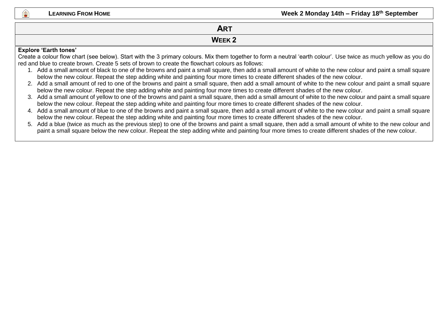|                              | A DT<br>AR I |  |
|------------------------------|--------------|--|
|                              | <b>WEEK2</b> |  |
| <b>Explore 'Earth tones'</b> |              |  |

Create a colour flow chart (see below). Start with the 3 primary colours. Mix them together to form a neutral 'earth colour'. Use twice as much yellow as you do red and blue to create brown. Create 5 sets of brown to create the flowchart colours as follows:

- 1. Add a small amount of black to one of the browns and paint a small square, then add a small amount of white to the new colour and paint a small square below the new colour. Repeat the step adding white and painting four more times to create different shades of the new colour.
- 2. Add a small amount of red to one of the browns and paint a small square, then add a small amount of white to the new colour and paint a small square below the new colour. Repeat the step adding white and painting four more times to create different shades of the new colour.
- 3. Add a small amount of yellow to one of the browns and paint a small square, then add a small amount of white to the new colour and paint a small square below the new colour. Repeat the step adding white and painting four more times to create different shades of the new colour.
- 4. Add a small amount of blue to one of the browns and paint a small square, then add a small amount of white to the new colour and paint a small square below the new colour. Repeat the step adding white and painting four more times to create different shades of the new colour.
- 5. Add a blue (twice as much as the previous step) to one of the browns and paint a small square, then add a small amount of white to the new colour and paint a small square below the new colour. Repeat the step adding white and painting four more times to create different shades of the new colour.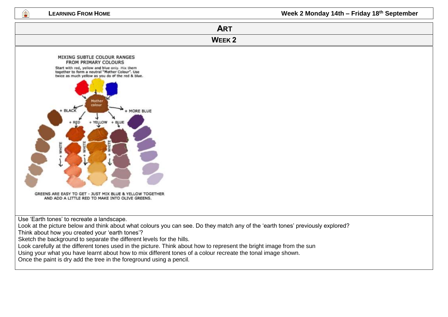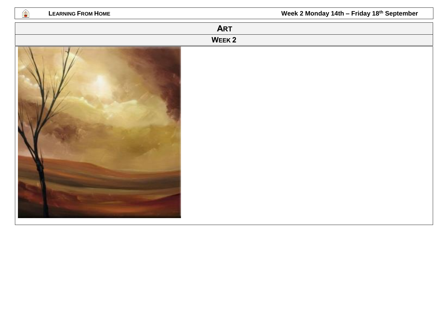| <b>LEARNING FROM HOME</b><br>働 | Week 2 Monday 14th - Friday 18th September |
|--------------------------------|--------------------------------------------|
|                                | <b>ART</b>                                 |
|                                | WEEK <sub>2</sub>                          |
|                                |                                            |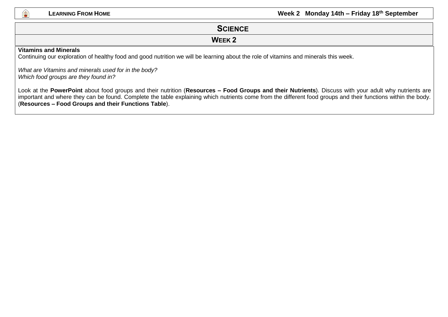

### **SCIENCE**

#### **WEEK 2**

#### **Vitamins and Minerals**

Continuing our exploration of healthy food and good nutrition we will be learning about the role of vitamins and minerals this week.

*What are Vitamins and minerals used for in the body? Which food groups are they found in?*

Look at the **PowerPoint** about food groups and their nutrition (**Resources – Food Groups and their Nutrients**). Discuss with your adult why nutrients are important and where they can be found. Complete the table explaining which nutrients come from the different food groups and their functions within the body. (**Resources – Food Groups and their Functions Table**).